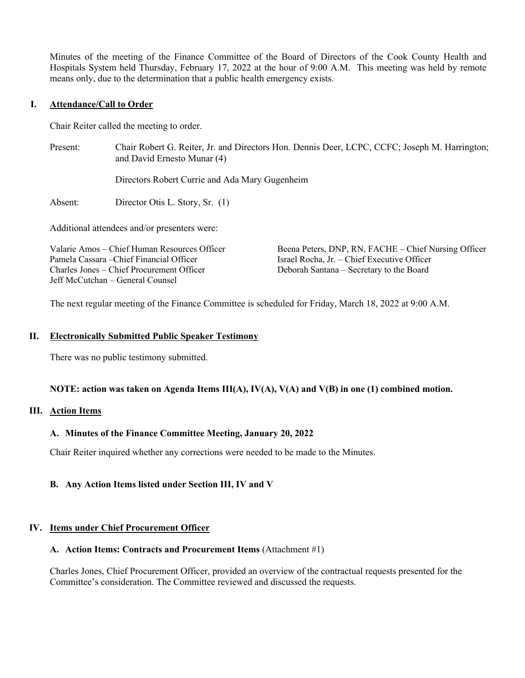Minutes of the meeting of the Finance Committee of the Board of Directors of the Cook County Health and Hospitals System held Thursday, February 17, 2022 at the hour of 9:00 A.M. This meeting was held by remote means only, due to the determination that a public health emergency exists.

### **I. Attendance/Call to Order**

Chair Reiter called the meeting to order.

Present: Chair Robert G. Reiter, Jr. and Directors Hon. Dennis Deer, LCPC, CCFC; Joseph M. Harrington; and David Ernesto Munar (4)

Directors Robert Currie and Ada Mary Gugenheim

Absent: Director Otis L. Story, Sr. (1)

Additional attendees and/or presenters were:

Valarie Amos – Chief Human Resources Officer Pamela Cassara –Chief Financial Officer Charles Jones – Chief Procurement Officer Jeff McCutchan – General Counsel

Beena Peters, DNP, RN, FACHE – Chief Nursing Officer Israel Rocha, Jr. – Chief Executive Officer Deborah Santana – Secretary to the Board

The next regular meeting of the Finance Committee is scheduled for Friday, March 18, 2022 at 9:00 A.M.

#### **II. Electronically Submitted Public Speaker Testimony**

There was no public testimony submitted.

#### **NOTE: action was taken on Agenda Items III(A), IV(A), V(A) and V(B) in one (1) combined motion.**

## **III. Action Items**

## **A. Minutes of the Finance Committee Meeting, January 20, 2022**

Chair Reiter inquired whether any corrections were needed to be made to the Minutes.

## **B. Any Action Items listed under Section III, IV and V**

## **IV. Items under Chief Procurement Officer**

#### **A. Action Items: Contracts and Procurement Items** (Attachment #1)

Charles Jones, Chief Procurement Officer, provided an overview of the contractual requests presented for the Committee's consideration. The Committee reviewed and discussed the requests.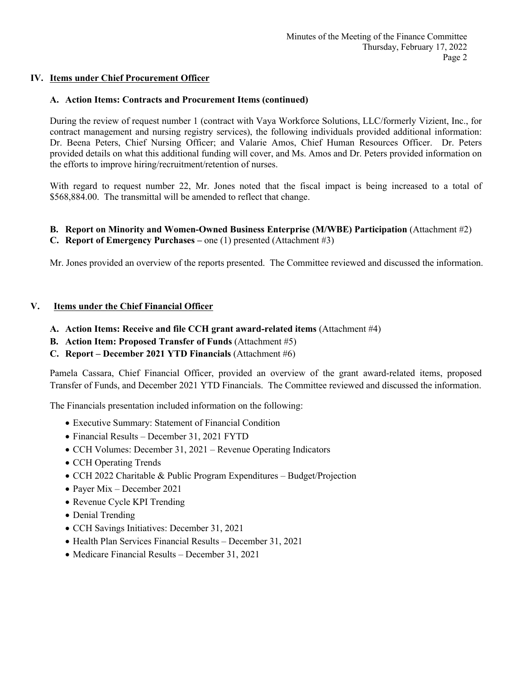# **IV. Items under Chief Procurement Officer**

# **A. Action Items: Contracts and Procurement Items (continued)**

During the review of request number 1 (contract with Vaya Workforce Solutions, LLC/formerly Vizient, Inc., for contract management and nursing registry services), the following individuals provided additional information: Dr. Beena Peters, Chief Nursing Officer; and Valarie Amos, Chief Human Resources Officer. Dr. Peters provided details on what this additional funding will cover, and Ms. Amos and Dr. Peters provided information on the efforts to improve hiring/recruitment/retention of nurses.

With regard to request number 22, Mr. Jones noted that the fiscal impact is being increased to a total of \$568,884.00. The transmittal will be amended to reflect that change.

# **B. Report on Minority and Women-Owned Business Enterprise (M/WBE) Participation** (Attachment #2)

**C. Report of Emergency Purchases –** one (1) presented (Attachment #3)

Mr. Jones provided an overview of the reports presented. The Committee reviewed and discussed the information.

## **V. Items under the Chief Financial Officer**

- **A. Action Items: Receive and file CCH grant award-related items** (Attachment #4)
- **B. Action Item: Proposed Transfer of Funds** (Attachment #5)
- **C. Report – December 2021 YTD Financials** (Attachment #6)

Pamela Cassara, Chief Financial Officer, provided an overview of the grant award-related items, proposed Transfer of Funds, and December 2021 YTD Financials. The Committee reviewed and discussed the information.

The Financials presentation included information on the following:

- Executive Summary: Statement of Financial Condition
- Financial Results December 31, 2021 FYTD
- CCH Volumes: December 31, 2021 Revenue Operating Indicators
- CCH Operating Trends
- CCH 2022 Charitable & Public Program Expenditures Budget/Projection
- Payer Mix December 2021
- Revenue Cycle KPI Trending
- Denial Trending
- CCH Savings Initiatives: December 31, 2021
- Health Plan Services Financial Results December 31, 2021
- Medicare Financial Results December 31, 2021